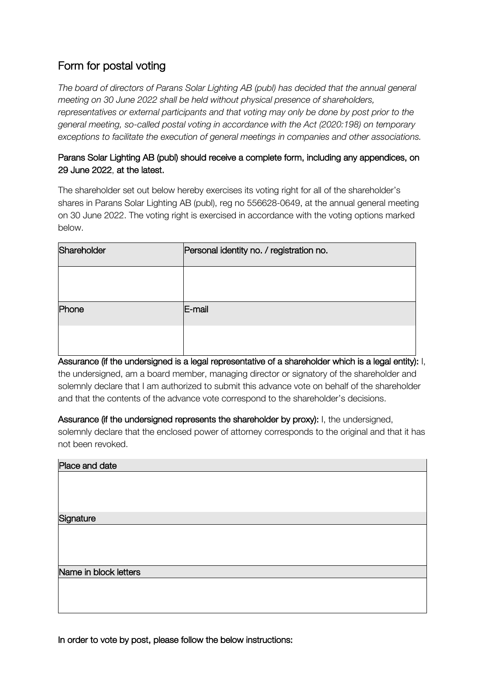## Form for postal voting

*The board of directors of Parans Solar Lighting AB (publ) has decided that the annual general meeting on 30 June 2022 shall be held without physical presence of shareholders, representatives or external participants and that voting may only be done by post prior to the general meeting, so-called postal voting in accordance with the Act (2020:198) on temporary exceptions to facilitate the execution of general meetings in companies and other associations.* 

## Parans Solar Lighting AB (publ) should receive a complete form, including any appendices, on 29 June 2022, at the latest.

The shareholder set out below hereby exercises its voting right for all of the shareholder's shares in Parans Solar Lighting AB (publ), reg no 556628-0649, at the annual general meeting on 30 June 2022. The voting right is exercised in accordance with the voting options marked below.

| Shareholder | Personal identity no. / registration no. |  |  |
|-------------|------------------------------------------|--|--|
|             |                                          |  |  |
| Phone       | E-mail                                   |  |  |
|             |                                          |  |  |

Assurance (if the undersigned is a legal representative of a shareholder which is a legal entity): I, the undersigned, am a board member, managing director or signatory of the shareholder and solemnly declare that I am authorized to submit this advance vote on behalf of the shareholder and that the contents of the advance vote correspond to the shareholder's decisions.

Assurance (if the undersigned represents the shareholder by proxy): I, the undersigned, solemnly declare that the enclosed power of attorney corresponds to the original and that it has not been revoked.

| Place and date        |
|-----------------------|
|                       |
|                       |
|                       |
|                       |
| Signature             |
|                       |
|                       |
|                       |
|                       |
|                       |
| Name in block letters |
|                       |
|                       |
|                       |
|                       |

In order to vote by post, please follow the below instructions: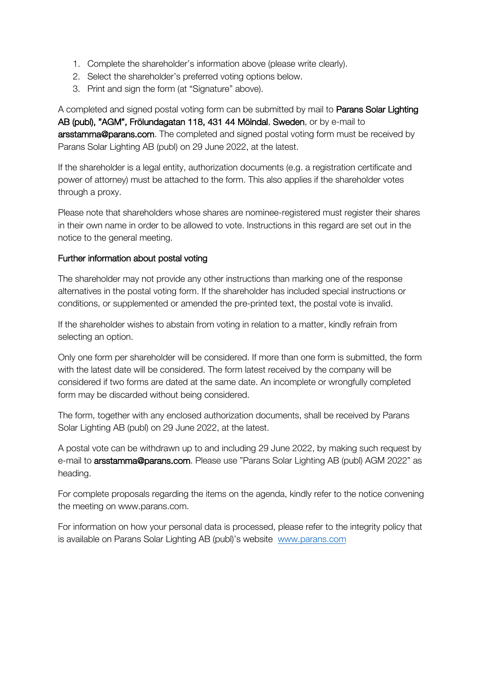- 1. Complete the shareholder's information above (please write clearly).
- 2. Select the shareholder's preferred voting options below.
- 3. Print and sign the form (at "Signature" above).

A completed and signed postal voting form can be submitted by mail to **Parans Solar Lighting** AB (publ), "AGM", Frölundagatan 118, 431 44 Mölndal, Sweden, or by e-mail to arsstamma@parans.com. The completed and signed postal voting form must be received by Parans Solar Lighting AB (publ) on 29 June 2022, at the latest.

If the shareholder is a legal entity, authorization documents (e.g. a registration certificate and power of attorney) must be attached to the form. This also applies if the shareholder votes through a proxy.

Please note that shareholders whose shares are nominee-registered must register their shares in their own name in order to be allowed to vote. Instructions in this regard are set out in the notice to the general meeting.

## Further information about postal voting

The shareholder may not provide any other instructions than marking one of the response alternatives in the postal voting form. If the shareholder has included special instructions or conditions, or supplemented or amended the pre-printed text, the postal vote is invalid.

If the shareholder wishes to abstain from voting in relation to a matter, kindly refrain from selecting an option.

Only one form per shareholder will be considered. If more than one form is submitted, the form with the latest date will be considered. The form latest received by the company will be considered if two forms are dated at the same date. An incomplete or wrongfully completed form may be discarded without being considered.

The form, together with any enclosed authorization documents, shall be received by Parans Solar Lighting AB (publ) on 29 June 2022, at the latest.

A postal vote can be withdrawn up to and including 29 June 2022, by making such request by e-mail to arsstamma@parans.com. Please use "Parans Solar Lighting AB (publ) AGM 2022" as heading.

For complete proposals regarding the items on the agenda, kindly refer to the notice convening the meeting on www.parans.com.

For information on how your personal data is processed, please refer to the integrity policy that is available on Parans Solar Lighting AB (publ)'s website www.parans.com